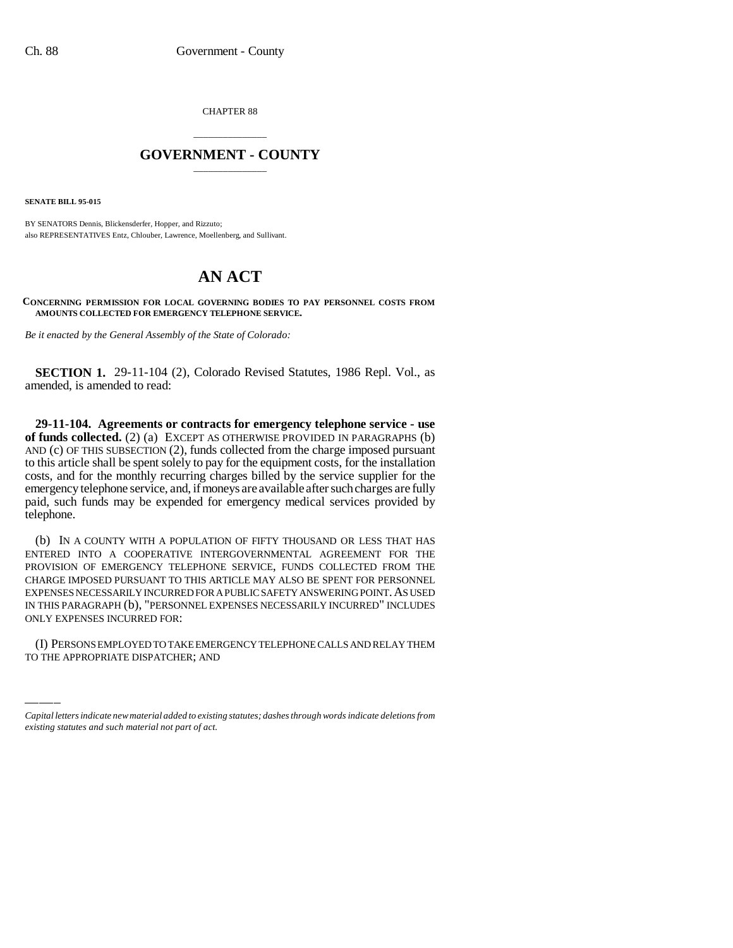CHAPTER 88

## \_\_\_\_\_\_\_\_\_\_\_\_\_\_\_ **GOVERNMENT - COUNTY** \_\_\_\_\_\_\_\_\_\_\_\_\_\_\_

**SENATE BILL 95-015**

BY SENATORS Dennis, Blickensderfer, Hopper, and Rizzuto; also REPRESENTATIVES Entz, Chlouber, Lawrence, Moellenberg, and Sullivant.

## **AN ACT**

**CONCERNING PERMISSION FOR LOCAL GOVERNING BODIES TO PAY PERSONNEL COSTS FROM AMOUNTS COLLECTED FOR EMERGENCY TELEPHONE SERVICE.**

*Be it enacted by the General Assembly of the State of Colorado:*

**SECTION 1.** 29-11-104 (2), Colorado Revised Statutes, 1986 Repl. Vol., as amended, is amended to read:

**29-11-104. Agreements or contracts for emergency telephone service - use of funds collected.** (2) (a) EXCEPT AS OTHERWISE PROVIDED IN PARAGRAPHS (b) AND (c) OF THIS SUBSECTION (2), funds collected from the charge imposed pursuant to this article shall be spent solely to pay for the equipment costs, for the installation costs, and for the monthly recurring charges billed by the service supplier for the emergency telephone service, and, if moneys are available after such charges are fully paid, such funds may be expended for emergency medical services provided by telephone.

ONLY EXPENSES INCURRED FOR: (b) IN A COUNTY WITH A POPULATION OF FIFTY THOUSAND OR LESS THAT HAS ENTERED INTO A COOPERATIVE INTERGOVERNMENTAL AGREEMENT FOR THE PROVISION OF EMERGENCY TELEPHONE SERVICE, FUNDS COLLECTED FROM THE CHARGE IMPOSED PURSUANT TO THIS ARTICLE MAY ALSO BE SPENT FOR PERSONNEL EXPENSES NECESSARILY INCURRED FOR A PUBLIC SAFETY ANSWERING POINT. AS USED IN THIS PARAGRAPH (b), "PERSONNEL EXPENSES NECESSARILY INCURRED" INCLUDES

(I) PERSONS EMPLOYED TO TAKE EMERGENCY TELEPHONE CALLS AND RELAY THEM TO THE APPROPRIATE DISPATCHER; AND

*Capital letters indicate new material added to existing statutes; dashes through words indicate deletions from existing statutes and such material not part of act.*